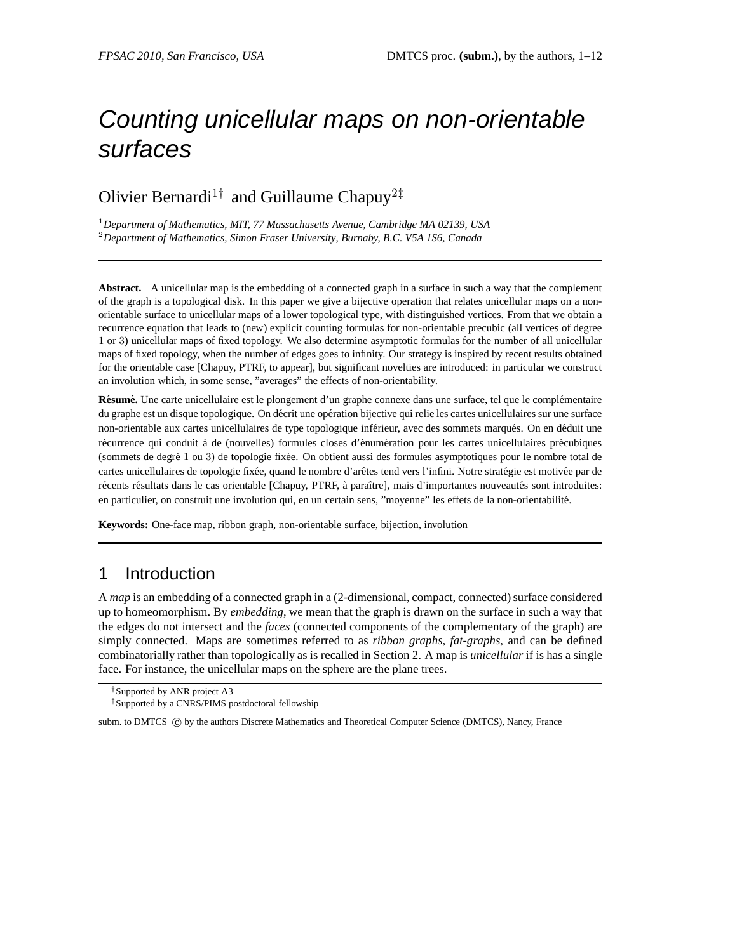# Counting unicellular maps on non-orientable surfaces

# Olivier Bernardi<sup>1†</sup> and Guillaume Chapuy<sup>2‡</sup>

<sup>1</sup>*Department of Mathematics, MIT, 77 Massachusetts Avenue, Cambridge MA 02139, USA* <sup>2</sup>*Department of Mathematics, Simon Fraser University, Burnaby, B.C. V5A 1S6, Canada*

**Abstract.** A unicellular map is the embedding of a connected graph in a surface in such a way that the complement of the graph is a topological disk. In this paper we give a bijective operation that relates unicellular maps on a nonorientable surface to unicellular maps of a lower topological type, with distinguished vertices. From that we obtain a recurrence equation that leads to (new) explicit counting formulas for non-orientable precubic (all vertices of degree 1 or 3) unicellular maps of fixed topology. We also determine asymptotic formulas for the number of all unicellular maps of fixed topology, when the number of edges goes to infinity. Our strategy is inspired by recent results obtained for the orientable case [Chapuy, PTRF, to appear], but significant novelties are introduced: in particular we construct an involution which, in some sense, "averages" the effects of non-orientability.

**Résumé.** Une carte unicellulaire est le plongement d'un graphe connexe dans une surface, tel que le complémentaire du graphe est un disque topologique. On décrit une opération bijective qui relie les cartes unicellulaires sur une surface non-orientable aux cartes unicellulaires de type topologique inférieur, avec des sommets marqués. On en déduit une récurrence qui conduit à de (nouvelles) formules closes d'énumération pour les cartes unicellulaires précubiques (sommets de degré 1 ou 3) de topologie fixée. On obtient aussi des formules asymptotiques pour le nombre total de cartes unicellulaires de topologie fixée, quand le nombre d'arêtes tend vers l'infini. Notre stratégie est motivée par de récents résultats dans le cas orientable [Chapuy, PTRF, à paraître], mais d'importantes nouveautés sont introduites: en particulier, on construit une involution qui, en un certain sens, "moyenne" les effets de la non-orientabilité.

**Keywords:** One-face map, ribbon graph, non-orientable surface, bijection, involution

## 1 Introduction

A *map* is an embedding of a connected graph in a (2-dimensional, compact, connected) surface considered up to homeomorphism. By *embedding*, we mean that the graph is drawn on the surface in such a way that the edges do not intersect and the *faces* (connected components of the complementary of the graph) are simply connected. Maps are sometimes referred to as *ribbon graphs, fat-graphs*, and can be defined combinatorially rather than topologically as is recalled in Section 2. A map is *unicellular* if is has a single face. For instance, the unicellular maps on the sphere are the plane trees.

<sup>†</sup>Supported by ANR project A3

<sup>‡</sup>Supported by a CNRS/PIMS postdoctoral fellowship

subm. to DMTCS (C) by the authors Discrete Mathematics and Theoretical Computer Science (DMTCS), Nancy, France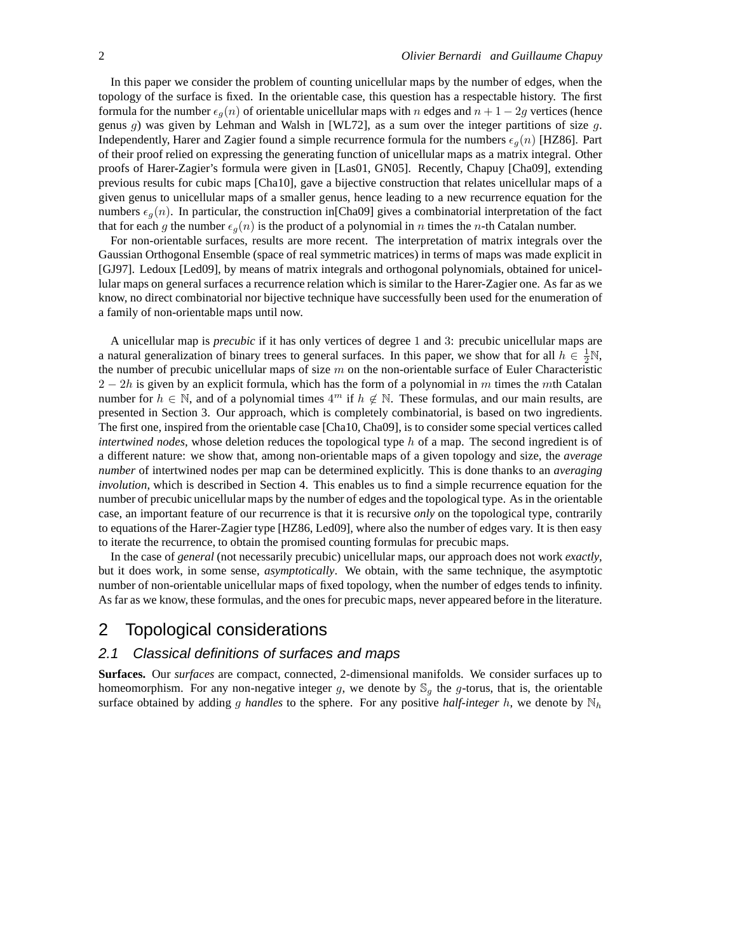In this paper we consider the problem of counting unicellular maps by the number of edges, when the topology of the surface is fixed. In the orientable case, this question has a respectable history. The first formula for the number  $\epsilon_g(n)$  of orientable unicellular maps with n edges and  $n + 1 - 2g$  vertices (hence genus  $g$ ) was given by Lehman and Walsh in [WL72], as a sum over the integer partitions of size  $g$ . Independently, Harer and Zagier found a simple recurrence formula for the numbers  $\epsilon_q(n)$  [HZ86]. Part of their proof relied on expressing the generating function of unicellular maps as a matrix integral. Other proofs of Harer-Zagier's formula were given in [Las01, GN05]. Recently, Chapuy [Cha09], extending previous results for cubic maps [Cha10], gave a bijective construction that relates unicellular maps of a given genus to unicellular maps of a smaller genus, hence leading to a new recurrence equation for the numbers  $\epsilon_q(n)$ . In particular, the construction in [Cha09] gives a combinatorial interpretation of the fact that for each g the number  $\epsilon_q(n)$  is the product of a polynomial in n times the n-th Catalan number.

For non-orientable surfaces, results are more recent. The interpretation of matrix integrals over the Gaussian Orthogonal Ensemble (space of real symmetric matrices) in terms of maps was made explicit in [GJ97]. Ledoux [Led09], by means of matrix integrals and orthogonal polynomials, obtained for unicellular maps on general surfaces a recurrence relation which is similar to the Harer-Zagier one. As far as we know, no direct combinatorial nor bijective technique have successfully been used for the enumeration of a family of non-orientable maps until now.

A unicellular map is *precubic* if it has only vertices of degree 1 and 3: precubic unicellular maps are a natural generalization of binary trees to general surfaces. In this paper, we show that for all  $h \in \frac{1}{2}N$ , the number of precubic unicellular maps of size  $m$  on the non-orientable surface of Euler Characteristic  $2 - 2h$  is given by an explicit formula, which has the form of a polynomial in m times the mth Catalan number for  $h \in \mathbb{N}$ , and of a polynomial times  $4^m$  if  $h \notin \mathbb{N}$ . These formulas, and our main results, are presented in Section 3. Our approach, which is completely combinatorial, is based on two ingredients. The first one, inspired from the orientable case [Cha10, Cha09], is to consider some special vertices called *intertwined nodes*, whose deletion reduces the topological type h of a map. The second ingredient is of a different nature: we show that, among non-orientable maps of a given topology and size, the *average number* of intertwined nodes per map can be determined explicitly. This is done thanks to an *averaging involution*, which is described in Section 4. This enables us to find a simple recurrence equation for the number of precubic unicellular maps by the number of edges and the topological type. As in the orientable case, an important feature of our recurrence is that it is recursive *only* on the topological type, contrarily to equations of the Harer-Zagier type [HZ86, Led09], where also the number of edges vary. It is then easy to iterate the recurrence, to obtain the promised counting formulas for precubic maps.

In the case of *general* (not necessarily precubic) unicellular maps, our approach does not work *exactly*, but it does work, in some sense, *asymptotically*. We obtain, with the same technique, the asymptotic number of non-orientable unicellular maps of fixed topology, when the number of edges tends to infinity. As far as we know, these formulas, and the ones for precubic maps, never appeared before in the literature.

## 2 Topological considerations

#### 2.1 Classical definitions of surfaces and maps

**Surfaces.** Our *surfaces* are compact, connected, 2-dimensional manifolds. We consider surfaces up to homeomorphism. For any non-negative integer g, we denote by  $\mathbb{S}_g$  the g-torus, that is, the orientable surface obtained by adding g *handles* to the sphere. For any positive *half-integer* h, we denote by  $\mathbb{N}_h$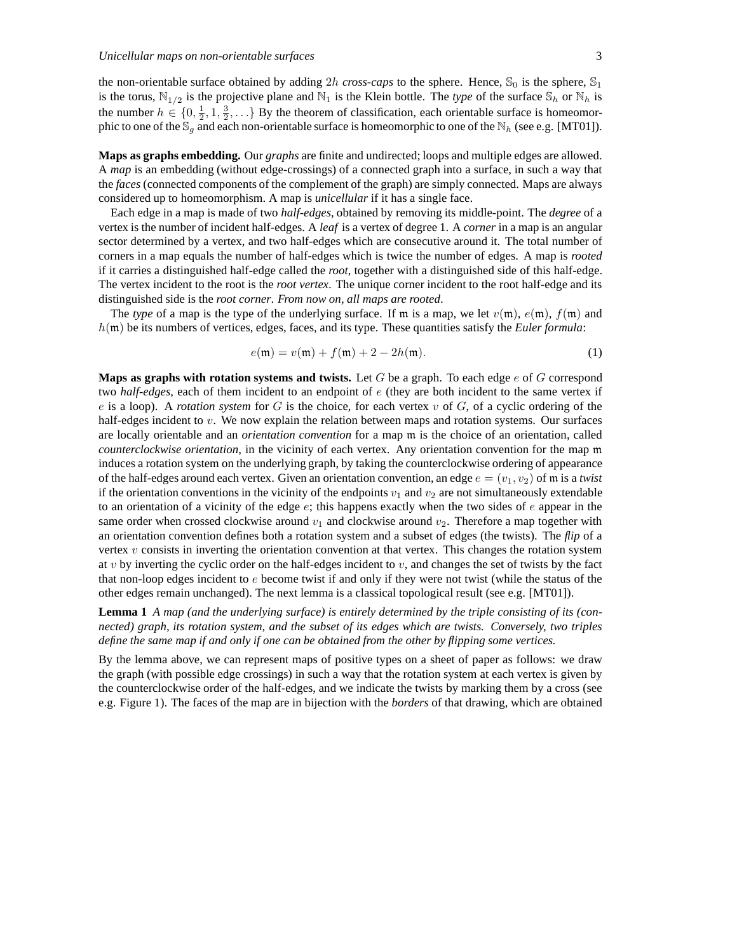the non-orientable surface obtained by adding 2h *cross-caps* to the sphere. Hence,  $\mathbb{S}_0$  is the sphere,  $\mathbb{S}_1$ is the torus,  $N_{1/2}$  is the projective plane and  $N_1$  is the Klein bottle. The *type* of the surface  $S_h$  or  $N_h$  is the number  $h \in \{0, \frac{1}{2}, 1, \frac{3}{2}, \ldots\}$  By the theorem of classification, each orientable surface is homeomorphic to one of the  $\mathbb{S}_q$  and each non-orientable surface is homeomorphic to one of the  $\mathbb{N}_h$  (see e.g. [MT01]).

**Maps as graphs embedding.** Our *graphs* are finite and undirected; loops and multiple edges are allowed. A *map* is an embedding (without edge-crossings) of a connected graph into a surface, in such a way that the *faces* (connected components of the complement of the graph) are simply connected. Maps are always considered up to homeomorphism. A map is *unicellular* if it has a single face.

Each edge in a map is made of two *half-edges*, obtained by removing its middle-point. The *degree* of a vertex is the number of incident half-edges. A *leaf* is a vertex of degree 1. A *corner* in a map is an angular sector determined by a vertex, and two half-edges which are consecutive around it. The total number of corners in a map equals the number of half-edges which is twice the number of edges. A map is *rooted* if it carries a distinguished half-edge called the *root*, together with a distinguished side of this half-edge. The vertex incident to the root is the *root vertex*. The unique corner incident to the root half-edge and its distinguished side is the *root corner*. *From now on, all maps are rooted*.

The *type* of a map is the type of the underlying surface. If m is a map, we let  $v(\mathfrak{m})$ ,  $e(\mathfrak{m})$ ,  $f(\mathfrak{m})$  and h(m) be its numbers of vertices, edges, faces, and its type. These quantities satisfy the *Euler formula*:

$$
e(\mathfrak{m}) = v(\mathfrak{m}) + f(\mathfrak{m}) + 2 - 2h(\mathfrak{m}).
$$
 (1)

**Maps as graphs with rotation systems and twists.** Let G be a graph. To each edge e of G correspond two *half-edges*, each of them incident to an endpoint of e (they are both incident to the same vertex if  $e$  is a loop). A *rotation system* for  $G$  is the choice, for each vertex  $v$  of  $G$ , of a cyclic ordering of the half-edges incident to v. We now explain the relation between maps and rotation systems. Our surfaces are locally orientable and an *orientation convention* for a map m is the choice of an orientation, called *counterclockwise orientation*, in the vicinity of each vertex. Any orientation convention for the map m induces a rotation system on the underlying graph, by taking the counterclockwise ordering of appearance of the half-edges around each vertex. Given an orientation convention, an edge  $e = (v_1, v_2)$  of m is a *twist* if the orientation conventions in the vicinity of the endpoints  $v_1$  and  $v_2$  are not simultaneously extendable to an orientation of a vicinity of the edge  $e$ ; this happens exactly when the two sides of  $e$  appear in the same order when crossed clockwise around  $v_1$  and clockwise around  $v_2$ . Therefore a map together with an orientation convention defines both a rotation system and a subset of edges (the twists). The *flip* of a vertex  $v$  consists in inverting the orientation convention at that vertex. This changes the rotation system at v by inverting the cyclic order on the half-edges incident to v, and changes the set of twists by the fact that non-loop edges incident to  $e$  become twist if and only if they were not twist (while the status of the other edges remain unchanged). The next lemma is a classical topological result (see e.g. [MT01]).

**Lemma 1** *A map (and the underlying surface) is entirely determined by the triple consisting of its (connected) graph, its rotation system, and the subset of its edges which are twists. Conversely, two triples define the same map if and only if one can be obtained from the other by flipping some vertices.*

By the lemma above, we can represent maps of positive types on a sheet of paper as follows: we draw the graph (with possible edge crossings) in such a way that the rotation system at each vertex is given by the counterclockwise order of the half-edges, and we indicate the twists by marking them by a cross (see e.g. Figure 1). The faces of the map are in bijection with the *borders* of that drawing, which are obtained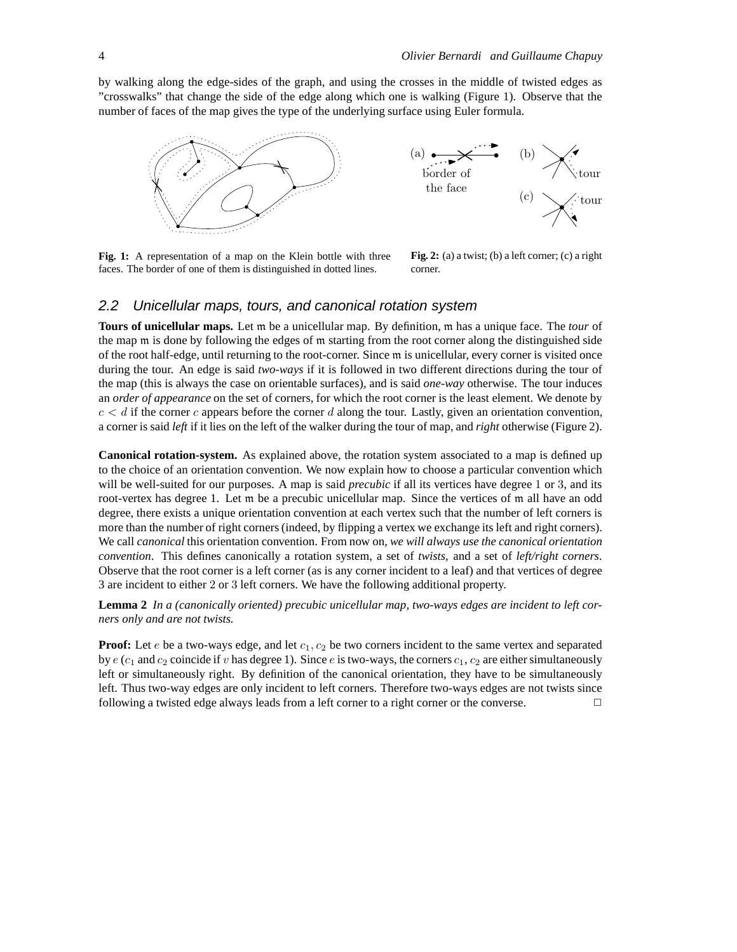by walking along the edge-sides of the graph, and using the crosses in the middle of twisted edges as "crosswalks" that change the side of the edge along which one is walking (Figure 1). Observe that the number of faces of the map gives the type of the underlying surface using Euler formula.



**Fig. 1:** A representation of a map on the Klein bottle with three faces. The border of one of them is distinguished in dotted lines.

**Fig. 2:** (a) a twist; (b) a left corner; (c) a right corner.

#### 2.2 Unicellular maps, tours, and canonical rotation system

**Tours of unicellular maps.** Let m be a unicellular map. By definition, m has a unique face. The *tour* of the map m is done by following the edges of m starting from the root corner along the distinguished side of the root half-edge, until returning to the root-corner. Since m is unicellular, every corner is visited once during the tour. An edge is said *two-ways* if it is followed in two different directions during the tour of the map (this is always the case on orientable surfaces), and is said *one-way* otherwise. The tour induces an *order of appearance* on the set of corners, for which the root corner is the least element. We denote by  $c < d$  if the corner c appears before the corner d along the tour. Lastly, given an orientation convention, a corner is said *left* if it lies on the left of the walker during the tour of map, and *right* otherwise (Figure 2).

**Canonical rotation-system.** As explained above, the rotation system associated to a map is defined up to the choice of an orientation convention. We now explain how to choose a particular convention which will be well-suited for our purposes. A map is said *precubic* if all its vertices have degree 1 or 3, and its root-vertex has degree 1. Let m be a precubic unicellular map. Since the vertices of m all have an odd degree, there exists a unique orientation convention at each vertex such that the number of left corners is more than the number of right corners (indeed, by flipping a vertex we exchange its left and right corners). We call *canonical* this orientation convention. From now on, *we will always use the canonical orientation convention*. This defines canonically a rotation system, a set of *twists*, and a set of *left/right corners*. Observe that the root corner is a left corner (as is any corner incident to a leaf) and that vertices of degree 3 are incident to either 2 or 3 left corners. We have the following additional property.

**Lemma 2** *In a (canonically oriented) precubic unicellular map, two-ways edges are incident to left corners only and are not twists.*

**Proof:** Let  $e$  be a two-ways edge, and let  $c_1, c_2$  be two corners incident to the same vertex and separated by  $e$  ( $c_1$  and  $c_2$  coincide if v has degree 1). Since e is two-ways, the corners  $c_1$ ,  $c_2$  are either simultaneously left or simultaneously right. By definition of the canonical orientation, they have to be simultaneously left. Thus two-way edges are only incident to left corners. Therefore two-ways edges are not twists since following a twisted edge always leads from a left corner to a right corner or the converse.  $\Box$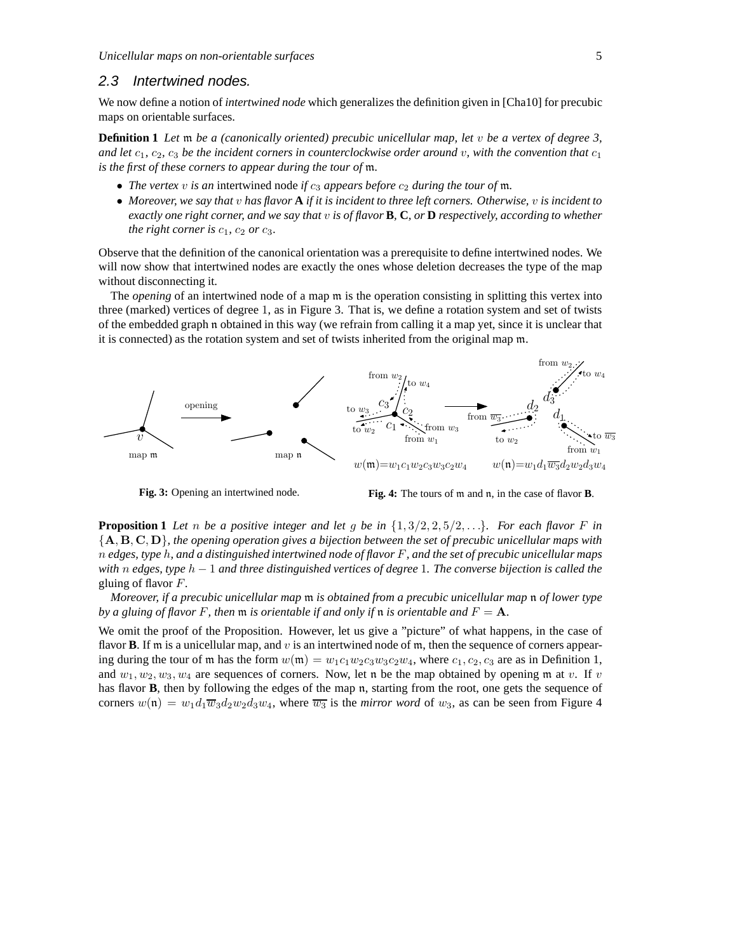#### 2.3 Intertwined nodes.

We now define a notion of *intertwined node* which generalizes the definition given in [Cha10] for precubic maps on orientable surfaces.

**Definition 1** *Let* m *be a (canonically oriented) precubic unicellular map, let* v *be a vertex of degree 3, and let*  $c_1$ ,  $c_2$ ,  $c_3$  *be the incident corners in counterclockwise order around* v, with the convention that  $c_1$ *is the first of these corners to appear during the tour of* m*.*

- *The vertex*  $v$  *is an* intertwined node *if*  $c_3$  *appears before*  $c_2$  *during the tour of*  $m$ *.*
- *Moreover, we say that* v *has flavor* **A** *if it is incident to three left corners. Otherwise,* v *is incident to exactly one right corner, and we say that* v *is of flavor* **B***,* **C***, or* **D** *respectively, according to whether the right corner is*  $c_1$ ,  $c_2$  *or*  $c_3$ *.*

Observe that the definition of the canonical orientation was a prerequisite to define intertwined nodes. We will now show that intertwined nodes are exactly the ones whose deletion decreases the type of the map without disconnecting it.

The *opening* of an intertwined node of a map m is the operation consisting in splitting this vertex into three (marked) vertices of degree 1, as in Figure 3. That is, we define a rotation system and set of twists of the embedded graph n obtained in this way (we refrain from calling it a map yet, since it is unclear that it is connected) as the rotation system and set of twists inherited from the original map m.



**Fig. 3:** Opening an intertwined node.



**Proposition 1** Let n be a positive integer and let g be in  $\{1, 3/2, 2, 5/2, ...\}$ *. For each flavor* F in {A, <sup>B</sup>, <sup>C</sup>, <sup>D</sup>}*, the opening operation gives a bijection between the set of precubic unicellular maps with* n *edges, type* h*, and a distinguished intertwined node of flavor* F*, and the set of precubic unicellular maps with* n *edges, type* h − 1 *and three distinguished vertices of degree* 1*. The converse bijection is called the* gluing of flavor F*.*

*Moreover, if a precubic unicellular map* m *is obtained from a precubic unicellular map* n *of lower type by a gluing of flavor* F, then  $m$  *is orientable if and only if*  $n$  *is orientable and*  $F = A$ *.* 

We omit the proof of the Proposition. However, let us give a "picture" of what happens, in the case of flavor **B**. If m is a unicellular map, and v is an intertwined node of m, then the sequence of corners appearing during the tour of m has the form  $w(m) = w_1c_1w_2c_3w_3c_2w_4$ , where  $c_1, c_2, c_3$  are as in Definition 1, and  $w_1, w_2, w_3, w_4$  are sequences of corners. Now, let n be the map obtained by opening m at v. If v has flavor **B**, then by following the edges of the map n, starting from the root, one gets the sequence of corners  $w(\mathfrak{n}) = w_1 d_1 \overline{w_3} d_2 w_2 d_3 w_4$ , where  $\overline{w_3}$  is the *mirror word* of  $w_3$ , as can be seen from Figure 4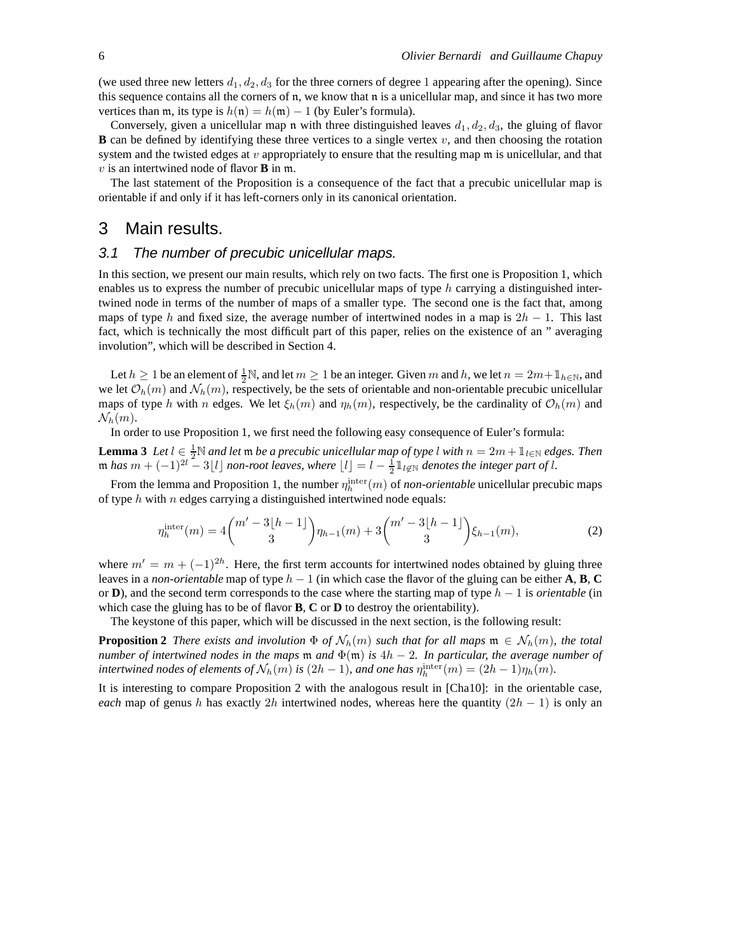(we used three new letters  $d_1, d_2, d_3$  for the three corners of degree 1 appearing after the opening). Since this sequence contains all the corners of n, we know that n is a unicellular map, and since it has two more vertices than m, its type is  $h(n) = h(m) - 1$  (by Euler's formula).

Conversely, given a unicellular map n with three distinguished leaves  $d_1, d_2, d_3$ , the gluing of flavor **B** can be defined by identifying these three vertices to a single vertex  $v$ , and then choosing the rotation system and the twisted edges at  $v$  appropriately to ensure that the resulting map  $m$  is unicellular, and that v is an intertwined node of flavor **B** in m.

The last statement of the Proposition is a consequence of the fact that a precubic unicellular map is orientable if and only if it has left-corners only in its canonical orientation.

## 3 Main results.

### 3.1 The number of precubic unicellular maps.

In this section, we present our main results, which rely on two facts. The first one is Proposition 1, which enables us to express the number of precubic unicellular maps of type h carrying a distinguished intertwined node in terms of the number of maps of a smaller type. The second one is the fact that, among maps of type h and fixed size, the average number of intertwined nodes in a map is  $2h - 1$ . This last fact, which is technically the most difficult part of this paper, relies on the existence of an " averaging involution", which will be described in Section 4.

Let  $h \ge 1$  be an element of  $\frac{1}{2}N$ , and let  $m \ge 1$  be an integer. Given m and h, we let  $n = 2m + 1_{h \in N}$ , and we let  $\mathcal{O}_h(m)$  and  $\mathcal{N}_h(m)$ , respectively, be the sets of orientable and non-orientable precubic unicellular maps of type h with n edges. We let  $\xi_h(m)$  and  $\eta_h(m)$ , respectively, be the cardinality of  $\mathcal{O}_h(m)$  and  $\mathcal{N}_h(m)$ .

In order to use Proposition 1, we first need the following easy consequence of Euler's formula:

**Lemma 3** *Let*  $l \in \frac{1}{2} \mathbb{N}$  *and let*  $\mathfrak{m}$  *be a precubic unicellular map of type* l *with*  $n = 2m + 1$ <sub>l∈N</sub> *edges. Then*  $m$  *has*  $m + (-1)^{2l} - 3\lfloor l \rfloor$  *non-root leaves, where*  $\lfloor l \rfloor = l - \frac{1}{2} \mathbb{1}_{l \notin \mathbb{N}}$  *denotes the integer part of l.* 

From the lemma and Proposition 1, the number  $\eta_h^{\text{inter}}(m)$  of *non-orientable* unicellular precubic maps of type  $h$  with  $n$  edges carrying a distinguished intertwined node equals:

$$
\eta_h^{\text{inter}}(m) = 4 \binom{m'-3\lfloor h-1 \rfloor}{3} \eta_{h-1}(m) + 3 \binom{m'-3\lfloor h-1 \rfloor}{3} \xi_{h-1}(m),\tag{2}
$$

where  $m' = m + (-1)^{2h}$ . Here, the first term accounts for intertwined nodes obtained by gluing three leaves in a *non-orientable* map of type  $h - 1$  (in which case the flavor of the gluing can be either **A**, **B**, **C** or **D**), and the second term corresponds to the case where the starting map of type  $h - 1$  is *orientable* (in which case the gluing has to be of flavor **B**, **C** or **D** to destroy the orientability).

The keystone of this paper, which will be discussed in the next section, is the following result:

**Proposition 2** *There exists and involution*  $\Phi$  *of*  $\mathcal{N}_h(m)$  *such that for all maps*  $\mathfrak{m} \in \mathcal{N}_h(m)$ *, the total number of intertwined nodes in the maps*  $m$  *and*  $\Phi(m)$  *is*  $4h - 2$ *. In particular, the average number of intertwined nodes of elements of*  $\mathcal{N}_h(m)$  *is*  $(2h - 1)$ *, and one has*  $\eta_h^{\text{inter}}(m) = (2h - 1)\eta_h(m)$ *.* 

It is interesting to compare Proposition 2 with the analogous result in [Cha10]: in the orientable case, *each* map of genus h has exactly 2h intertwined nodes, whereas here the quantity  $(2h - 1)$  is only an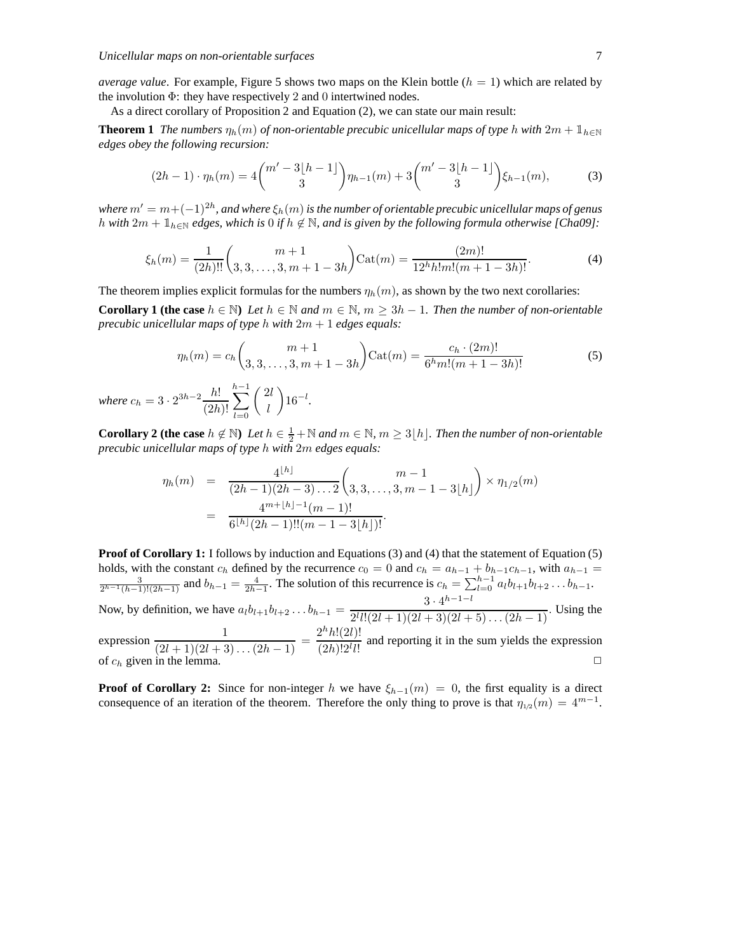*average value*. For example, Figure 5 shows two maps on the Klein bottle  $(h = 1)$  which are related by the involution  $\Phi$ : they have respectively 2 and 0 intertwined nodes.

As a direct corollary of Proposition 2 and Equation (2), we can state our main result:

**Theorem 1** *The numbers*  $\eta_h(m)$  *of non-orientable precubic unicellular maps of type* h *with*  $2m + \mathbb{1}_{h \in \mathbb{N}}$ *edges obey the following recursion:*

$$
(2h-1)\cdot \eta_h(m) = 4\binom{m'-3[h-1]}{3}\eta_{h-1}(m) + 3\binom{m'-3[h-1]}{3}\xi_{h-1}(m),\tag{3}
$$

where  $m' = m + (-1)^{2h}$ , and where  $\xi_h(m)$  is the number of orientable precubic unicellular maps of genus h with  $2m + \mathbb{1}_{h \in \mathbb{N}}$  edges, which is 0 if  $h \notin \mathbb{N}$ , and is given by the following formula otherwise [Cha09]:

$$
\xi_h(m) = \frac{1}{(2h)!!} \binom{m+1}{3,3,\ldots,3,m+1-3h} \text{Cat}(m) = \frac{(2m)!}{12^h h! m! (m+1-3h)!}.
$$
 (4)

The theorem implies explicit formulas for the numbers  $\eta_h(m)$ , as shown by the two next corollaries:

**Corollary 1 (the case**  $h \in \mathbb{N}$ ) *Let*  $h \in \mathbb{N}$  and  $m \in \mathbb{N}$ ,  $m \geq 3h - 1$ . Then the number of non-orientable *precubic unicellular maps of type* h *with* 2m + 1 *edges equals:*

$$
\eta_h(m) = c_h \binom{m+1}{3,3,\ldots,3,m+1-3h} \text{Cat}(m) = \frac{c_h \cdot (2m)!}{6^h m! (m+1-3h)!}
$$
(5)  
where  $c_h = 3 \cdot 2^{3h-2} \frac{h!}{(2h)!} \sum_{l=0}^{h-1} {\binom{2l}{l}} 16^{-l}.$ 

**Corollary 2 (the case**  $h \notin \mathbb{N}$ ) *Let*  $h \in \frac{1}{2} + \mathbb{N}$  *and*  $m \in \mathbb{N}$ ,  $m \geq 3\lfloor h \rfloor$ *. Then the number of non-orientable precubic unicellular maps of type* h *with* 2m *edges equals:*

$$
\eta_h(m) = \frac{4^{\lfloor h \rfloor}}{(2h-1)(2h-3)\dots 2} {m-1 \choose 3,3,\dots,3,m-1-3\lfloor h \rfloor} \times \eta_{1/2}(m)
$$
  
= 
$$
\frac{4^{m+\lfloor h \rfloor -1}(m-1)!}{6^{\lfloor h \rfloor} (2h-1)!!(m-1-3\lfloor h \rfloor)!}.
$$

**Proof of Corollary 1:** I follows by induction and Equations (3) and (4) that the statement of Equation (5) holds, with the constant  $c_h$  defined by the recurrence  $c_0 = 0$  and  $c_h = a_{h-1} + b_{h-1}c_{h-1}$ , with  $a_{h-1} = \frac{3}{2^{h-1}(h-1)!(2h-1)}$  and  $b_{h-1} = \frac{4}{2h-1}$ . The solution of this recurrence is  $c_h = \sum_{l=0}^{h-1} a_l b_{l+1} b_{l+2}$ Now, by definition, we have  $a_l b_{l+1} b_{l+2} \dots b_{h-1} = \frac{3 \cdot 4^{h-1-l}}{2^{l} l! (2l+1)(2l+3)(2l+1)}$  $\frac{2^{l} l! (2l+1)(2l+3)(2l+5)...(2h-1)}{2^{l} l! (2l+1)(2l+3)(2l+5)...(2h-1)}$ . expression  $\frac{1}{(2l+1)(2l+3)...(2h-1)} = \frac{2^h h!(2l)!}{(2h)!2^l l!}$  $\frac{2\ln(2e)}{(2h)!2^l l!}$  and reporting it in the sum yields the expression of  $c_h$  given in the lemma.

**Proof of Corollary 2:** Since for non-integer h we have  $\xi_{h-1}(m) = 0$ , the first equality is a direct consequence of an iteration of the theorem. Therefore the only thing to prove is that  $\eta_{1/2}(m) = 4^{m-1}$ .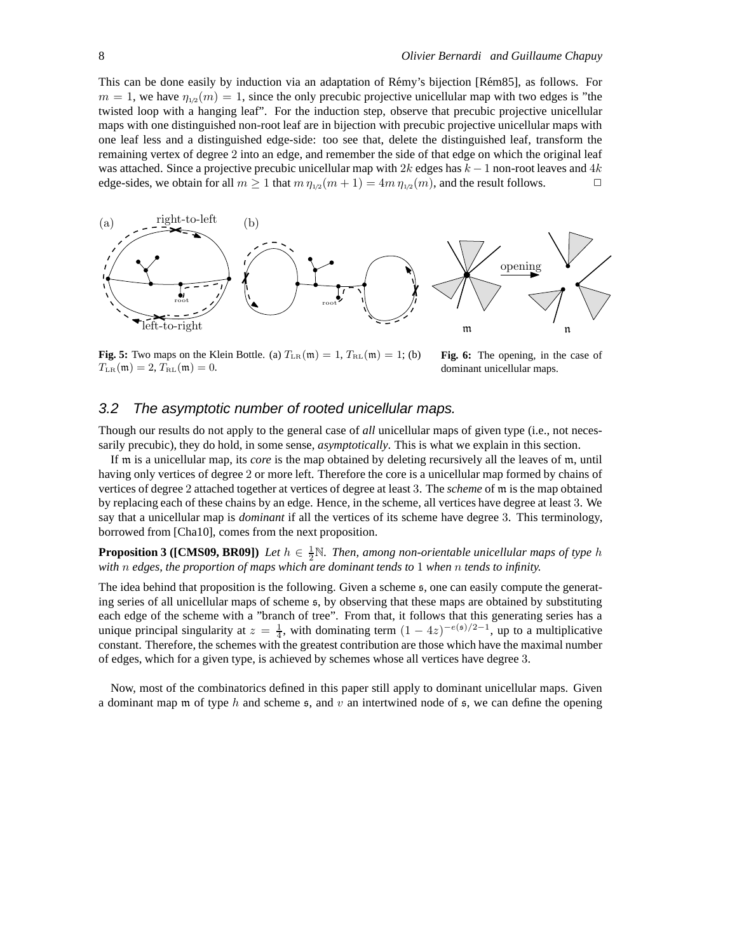This can be done easily by induction via an adaptation of Rémy's bijection [Rém85], as follows. For  $m = 1$ , we have  $\eta_{1/2}(m) = 1$ , since the only precubic projective unicellular map with two edges is "the twisted loop with a hanging leaf". For the induction step, observe that precubic projective unicellular maps with one distinguished non-root leaf are in bijection with precubic projective unicellular maps with one leaf less and a distinguished edge-side: too see that, delete the distinguished leaf, transform the remaining vertex of degree 2 into an edge, and remember the side of that edge on which the original leaf was attached. Since a projective precubic unicellular map with 2k edges has  $k - 1$  non-root leaves and 4k edge-sides, we obtain for all  $m > 1$  that  $m p_{1/2}(m + 1) = 4m p_{1/2}(m)$ , and the result follows. edge-sides, we obtain for all  $m \geq 1$  that  $m \eta_{1/2}(m+1) = 4m \eta_{1/2}(m)$ , and the result follows.



**Fig. 5:** Two maps on the Klein Bottle. (a)  $T_{LR}(\mathfrak{m}) = 1$ ,  $T_{RL}(\mathfrak{m}) = 1$ ; (b)  $T_{LR}(\mathfrak{m}) = 2, T_{RL}(\mathfrak{m}) = 0.$ 

**Fig. 6:** The opening, in the case of dominant unicellular maps.

#### 3.2 The asymptotic number of rooted unicellular maps.

Though our results do not apply to the general case of *all* unicellular maps of given type (i.e., not necessarily precubic), they do hold, in some sense, *asymptotically*. This is what we explain in this section.

If m is a unicellular map, its *core* is the map obtained by deleting recursively all the leaves of m, until having only vertices of degree 2 or more left. Therefore the core is a unicellular map formed by chains of vertices of degree 2 attached together at vertices of degree at least 3. The *scheme* of m is the map obtained by replacing each of these chains by an edge. Hence, in the scheme, all vertices have degree at least 3. We say that a unicellular map is *dominant* if all the vertices of its scheme have degree 3. This terminology, borrowed from [Cha10], comes from the next proposition.

**Proposition 3 ([CMS09, BR09])** *Let*  $h \in \frac{1}{2}N$ *. Then, among non-orientable unicellular maps of type*  $h$ *with* n *edges, the proportion of maps which are dominant tends to* 1 *when* n *tends to infinity.*

The idea behind that proposition is the following. Given a scheme s, one can easily compute the generating series of all unicellular maps of scheme s, by observing that these maps are obtained by substituting each edge of the scheme with a "branch of tree". From that, it follows that this generating series has a unique principal singularity at  $z = \frac{1}{4}$ , with dominating term  $(1 - 4z)^{-e(s)/2-1}$ , up to a multiplicative constant. Therefore, the schemes with the greatest contribution are those which have the maximal number of edges, which for a given type, is achieved by schemes whose all vertices have degree 3.

Now, most of the combinatorics defined in this paper still apply to dominant unicellular maps. Given a dominant map m of type h and scheme  $\mathfrak{s}$ , and v an intertwined node of  $\mathfrak{s}$ , we can define the opening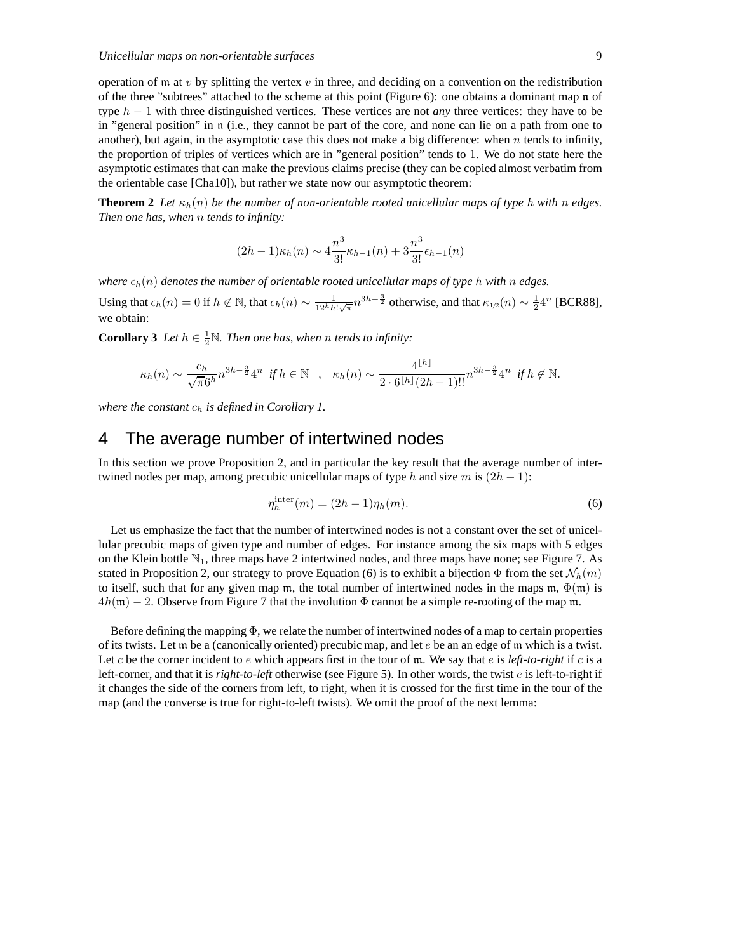operation of m at v by splitting the vertex v in three, and deciding on a convention on the redistribution of the three "subtrees" attached to the scheme at this point (Figure 6): one obtains a dominant map n of type h − 1 with three distinguished vertices. These vertices are not *any* three vertices: they have to be in "general position" in n (i.e., they cannot be part of the core, and none can lie on a path from one to another), but again, in the asymptotic case this does not make a big difference: when  $n$  tends to infinity, the proportion of triples of vertices which are in "general position" tends to 1. We do not state here the asymptotic estimates that can make the previous claims precise (they can be copied almost verbatim from the orientable case [Cha10]), but rather we state now our asymptotic theorem:

**Theorem 2** Let  $\kappa_h(n)$  be the number of non-orientable rooted unicellular maps of type h with n edges. *Then one has, when* n *tends to infinity:*

$$
(2h-1)\kappa_h(n) \sim 4\frac{n^3}{3!} \kappa_{h-1}(n) + 3\frac{n^3}{3!} \epsilon_{h-1}(n)
$$

*where*  $\epsilon_h(n)$  *denotes the number of orientable rooted unicellular maps of type h with* n *edges.* 

Using that  $\epsilon_h(n) = 0$  if  $h \notin \mathbb{N}$ , that  $\epsilon_h(n) \sim \frac{1}{12^h h! \sqrt{\pi}} n^{3h-\frac{3}{2}}$  otherwise, and that  $\kappa_{1/2}(n) \sim \frac{1}{2} 4^n$  [BCR88], we obtain:

**Corollary 3** *Let*  $h \in \frac{1}{2}N$ *. Then one has, when n tends to infinity:* 

$$
\kappa_h(n) \sim \frac{c_h}{\sqrt{\pi}6^h} n^{3h - \frac{3}{2}} 4^n \text{ if } h \in \mathbb{N} \quad , \quad \kappa_h(n) \sim \frac{4^{\lfloor h \rfloor}}{2 \cdot 6^{\lfloor h \rfloor} (2h - 1)!!} n^{3h - \frac{3}{2}} 4^n \text{ if } h \notin \mathbb{N}.
$$

*where the constant*  $c_h$  *is defined in Corollary 1.* 

## 4 The average number of intertwined nodes

In this section we prove Proposition 2, and in particular the key result that the average number of intertwined nodes per map, among precubic unicellular maps of type h and size m is  $(2h - 1)$ :

$$
\eta_h^{\text{inter}}(m) = (2h - 1)\eta_h(m). \tag{6}
$$

Let us emphasize the fact that the number of intertwined nodes is not a constant over the set of unicellular precubic maps of given type and number of edges. For instance among the six maps with 5 edges on the Klein bottle  $\mathbb{N}_1$ , three maps have 2 intertwined nodes, and three maps have none; see Figure 7. As stated in Proposition 2, our strategy to prove Equation (6) is to exhibit a bijection  $\Phi$  from the set  $\mathcal{N}_h(m)$ to itself, such that for any given map m, the total number of intertwined nodes in the maps m,  $\Phi(m)$  is  $4h(m) - 2$ . Observe from Figure 7 that the involution  $\Phi$  cannot be a simple re-rooting of the map m.

Before defining the mapping  $\Phi$ , we relate the number of intertwined nodes of a map to certain properties of its twists. Let  $m$  be a (canonically oriented) precubic map, and let  $e$  be an an edge of  $m$  which is a twist. Let c be the corner incident to e which appears first in the tour of m. We say that e is *left-to-right* if c is a left-corner, and that it is *right-to-left* otherwise (see Figure 5). In other words, the twist e is left-to-right if it changes the side of the corners from left, to right, when it is crossed for the first time in the tour of the map (and the converse is true for right-to-left twists). We omit the proof of the next lemma: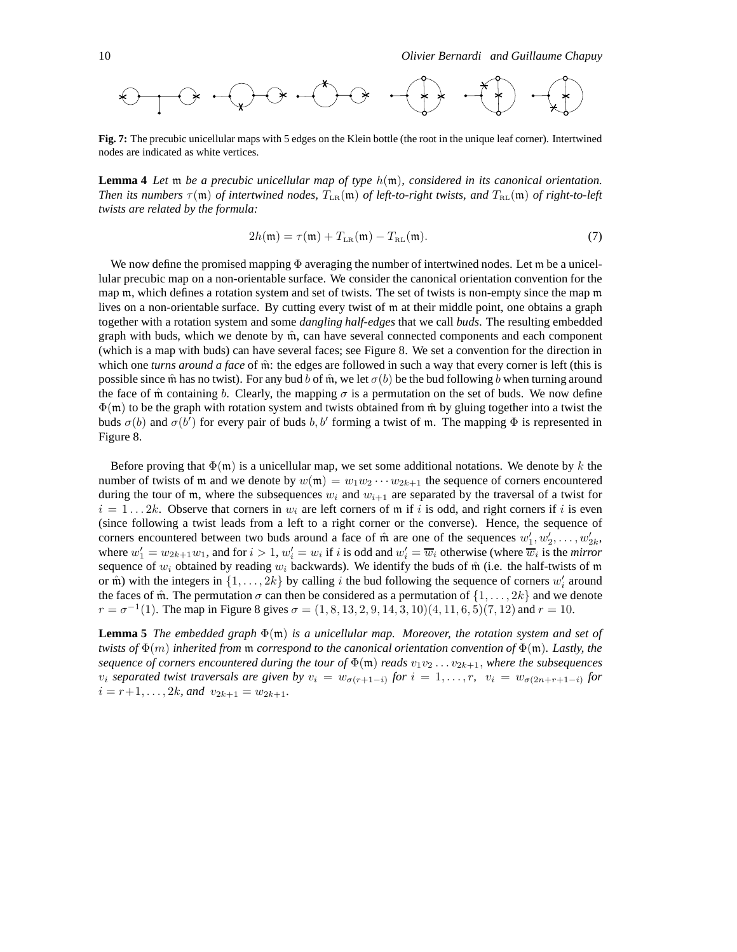**Fig. 7:** The precubic unicellular maps with 5 edges on the Klein bottle (the root in the unique leaf corner). Intertwined nodes are indicated as white vertices.

**Lemma 4** *Let* m *be a precubic unicellular map of type* h(m)*, considered in its canonical orientation. Then its numbers*  $\tau(\mathfrak{m})$  *of intertwined nodes,*  $T_{LR}(\mathfrak{m})$  *of left-to-right twists, and*  $T_{RL}(\mathfrak{m})$  *of right-to-left twists are related by the formula:*

$$
2h(\mathfrak{m}) = \tau(\mathfrak{m}) + T_{LR}(\mathfrak{m}) - T_{RL}(\mathfrak{m}).
$$
\n(7)

We now define the promised mapping  $\Phi$  averaging the number of intertwined nodes. Let m be a unicellular precubic map on a non-orientable surface. We consider the canonical orientation convention for the map m, which defines a rotation system and set of twists. The set of twists is non-empty since the map m lives on a non-orientable surface. By cutting every twist of m at their middle point, one obtains a graph together with a rotation system and some *dangling half-edges* that we call *buds*. The resulting embedded graph with buds, which we denote by  $\hat{m}$ , can have several connected components and each component (which is a map with buds) can have several faces; see Figure 8. We set a convention for the direction in which one *turns around a face* of  $\hat{m}$ : the edges are followed in such a way that every corner is left (this is possible since m̂ has no twist). For any bud b of m̂, we let  $\sigma(b)$  be the bud following b when turning around the face of m̂ containing b. Clearly, the mapping  $\sigma$  is a permutation on the set of buds. We now define  $\Phi(\mathfrak{m})$  to be the graph with rotation system and twists obtained from  $\hat{\mathfrak{m}}$  by gluing together into a twist the buds  $\sigma(b)$  and  $\sigma(b')$  for every pair of buds b, b' forming a twist of m. The mapping  $\Phi$  is represented in Figure 8.

Before proving that  $\Phi(\mathfrak{m})$  is a unicellular map, we set some additional notations. We denote by k the number of twists of m and we denote by  $w(m) = w_1w_2 \cdots w_{2k+1}$  the sequence of corners encountered during the tour of m, where the subsequences  $w_i$  and  $w_{i+1}$  are separated by the traversal of a twist for  $i = 1...2k$ . Observe that corners in  $w_i$  are left corners of m if i is odd, and right corners if i is even (since following a twist leads from a left to a right corner or the converse). Hence, the sequence of corners encountered between two buds around a face of  $\hat{m}$  are one of the sequences  $w'_1, w'_2, \ldots, w'_{2k}$ , where  $w'_1 = w_{2k+1}w_1$ , and for  $i > 1$ ,  $w'_i = w_i$  if i is odd and  $w'_i = \overline{w}_i$  otherwise (where  $\overline{w}_i$  is the *mirror* sequence of  $w_i$  obtained by reading  $w_i$  backwards). We identify the buds of  $\hat{m}$  (i.e. the half-twists of  $m$ or  $\hat{m}$ ) with the integers in  $\{1, \ldots, 2k\}$  by calling i the bud following the sequence of corners  $w'_i$  around the faces of  $\hat{m}$ . The permutation  $\sigma$  can then be considered as a permutation of  $\{1, \ldots, 2k\}$  and we denote  $r = \sigma^{-1}(1)$ . The map in Figure 8 gives  $\sigma = (1, 8, 13, 2, 9, 14, 3, 10)(4, 11, 6, 5)(7, 12)$  and  $r = 10$ .

**Lemma 5** *The embedded graph* Φ(m) *is a unicellular map. Moreover, the rotation system and set of twists of* Φ(m) *inherited from* m *correspond to the canonical orientation convention of* Φ(m)*. Lastly, the sequence of corners encountered during the tour of*  $\Phi(\mathfrak{m})$  *reads*  $v_1v_2 \ldots v_{2k+1}$ *, where the subsequences*  $v_i$  *separated twist traversals are given by*  $v_i = w_{\sigma(r+1-i)}$  *for*  $i = 1, \ldots, r$ ,  $v_i = w_{\sigma(2n+r+1-i)}$  *for*  $i = r+1, \ldots, 2k$ *, and*  $v_{2k+1} = w_{2k+1}$ *.*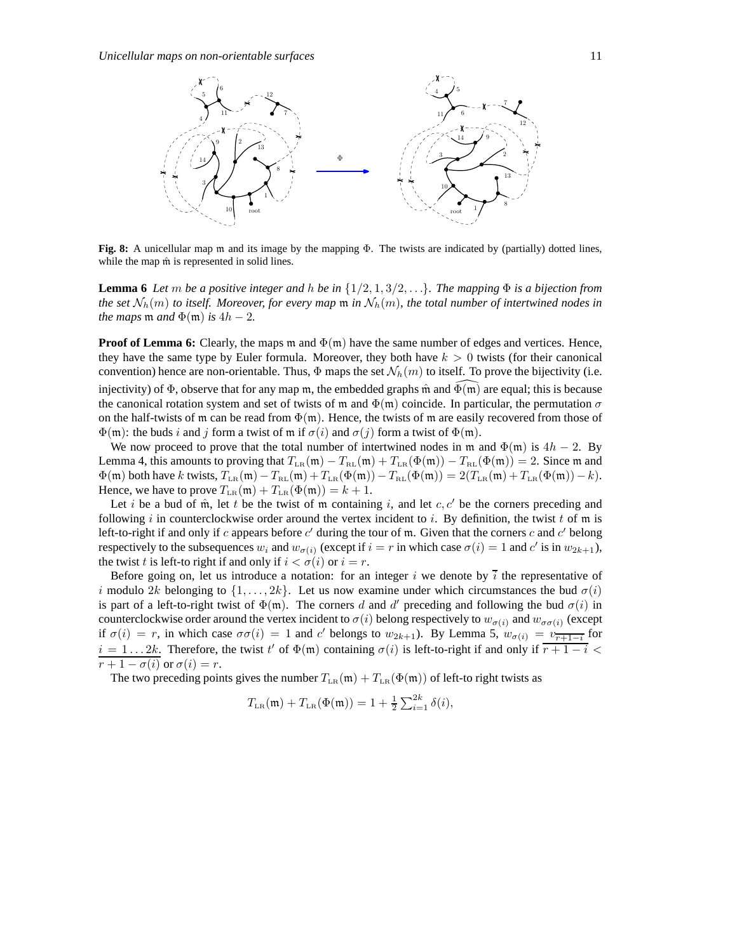

**Fig. 8:** A unicellular map m and its image by the mapping Φ. The twists are indicated by (partially) dotted lines, while the map  $\hat{m}$  is represented in solid lines.

**Lemma 6** *Let* m *be a positive integer and h be in*  $\{1/2, 1, 3/2, \ldots\}$ *. The mapping*  $\Phi$  *is a bijection from the set*  $N_h(m)$  *to itself. Moreover, for every map*  $m$  *in*  $N_h(m)$ *, the total number of intertwined nodes in the maps*  $m$  *and*  $\Phi(m)$  *is*  $4h - 2$ *.* 

**Proof of Lemma 6:** Clearly, the maps  $m$  and  $\Phi(m)$  have the same number of edges and vertices. Hence, they have the same type by Euler formula. Moreover, they both have  $k > 0$  twists (for their canonical convention) hence are non-orientable. Thus,  $\Phi$  maps the set  $\mathcal{N}_h(m)$  to itself. To prove the bijectivity (i.e. injectivity) of  $\Phi$ , observe that for any map m, the embedded graphs m̂ and  $\Phi(m)$  are equal; this is because the canonical rotation system and set of twists of m and  $\Phi(m)$  coincide. In particular, the permutation  $\sigma$ on the half-twists of m can be read from  $\Phi(m)$ . Hence, the twists of m are easily recovered from those of  $\Phi(m)$ : the buds i and j form a twist of m if  $\sigma(i)$  and  $\sigma(j)$  form a twist of  $\Phi(m)$ .

We now proceed to prove that the total number of intertwined nodes in m and  $\Phi(m)$  is  $4h - 2$ . By Lemma 4, this amounts to proving that  $T_{LR}(\mathfrak{m}) - T_{RL}(\mathfrak{m}) + T_{LR}(\Phi(\mathfrak{m})) - T_{RL}(\Phi(\mathfrak{m})) = 2$ . Since m and  $\Phi(\mathfrak{m})$  both have k twists,  $T_{LR}(\mathfrak{m}) - T_{RL}(\mathfrak{m}) + T_{LR}(\Phi(\mathfrak{m})) - T_{RL}(\Phi(\mathfrak{m})) = 2(T_{LR}(\mathfrak{m}) + T_{LR}(\Phi(\mathfrak{m})) - k)$ . Hence, we have to prove  $T_{LR}(\mathfrak{m}) + T_{LR}(\Phi(\mathfrak{m})) = k + 1$ .

Let i be a bud of  $\hat{m}$ , let t be the twist of m containing i, and let c, c' be the corners preceding and following i in counterclockwise order around the vertex incident to i. By definition, the twist t of  $m$  is left-to-right if and only if c appears before  $c'$  during the tour of m. Given that the corners c and  $c'$  belong respectively to the subsequences  $w_i$  and  $w_{\sigma(i)}$  (except if  $i = r$  in which case  $\sigma(i) = 1$  and  $c'$  is in  $w_{2k+1}$ ), the twist t is left-to right if and only if  $i < \sigma(i)$  or  $i = r$ .

Before going on, let us introduce a notation: for an integer i we denote by  $\overline{i}$  the representative of i modulo 2k belonging to  $\{1, \ldots, 2k\}$ . Let us now examine under which circumstances the bud  $\sigma(i)$ is part of a left-to-right twist of  $\Phi(\mathfrak{m})$ . The corners d and d' preceding and following the bud  $\sigma(i)$  in counterclockwise order around the vertex incident to  $\sigma(i)$  belong respectively to  $w_{\sigma(i)}$  and  $w_{\sigma\sigma(i)}$  (except if  $\sigma(i) = r$ , in which case  $\sigma\sigma(i) = 1$  and c' belongs to  $w_{2k+1}$ ). By Lemma 5,  $w_{\sigma(i)} = v_{\overline{r+1-i}}$  for  $i = 1...2k$ . Therefore, the twist t' of  $\Phi(\mathfrak{m})$  containing  $\sigma(i)$  is left-to-right if and only if  $\overline{r+1-i}$  <  $\overline{r+1-\sigma(i)}$  or  $\sigma(i)=r$ .

The two preceding points gives the number  $T_{LR}(\mathfrak{m}) + T_{LR}(\Phi(\mathfrak{m}))$  of left-to right twists as

$$
T_{LR}(\mathfrak{m}) + T_{LR}(\Phi(\mathfrak{m})) = 1 + \frac{1}{2} \sum_{i=1}^{2k} \delta(i),
$$